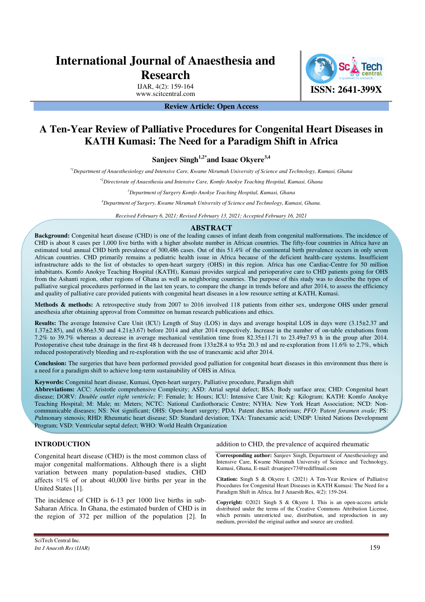# **International Journal of Anaesthesia and Research**

IJAR, 4(2): 159-164

**ISSN: 2641-399X** 

# **Review Article: Open Access**

# **A Ten-Year Review of Palliative Procedures for Congenital Heart Diseases in KATH Kumasi: The Need for a Paradigm Shift in Africa**

**Sanjeev Singh1,2\*and Isaac Okyere3,4**

*\*1Department of Anaesthesiology and Intensive Care, Kwame Nkrumah University of Science and Technology, Kumasi, Ghana* 

*\*2Directorate of Anaesthesia and Intensive Care, Komfo Anokye Teaching Hospital, Kumasi, Ghana* 

*<sup>3</sup>Department of Surgery Komfo Anokye Teaching Hospital, Kumasi, Ghana* 

*<sup>4</sup>Department of Surgery, Kwame Nkrumah University of Science and Technology, Kumasi, Ghana.* 

*Received February 6, 2021; Revised February 13, 2021; Accepted February 16, 2021* 

## **ABSTRACT**

**Background:** Congenital heart disease (CHD) is one of the leading causes of infant death from congenital malformations. The incidence of CHD is about 8 cases per 1,000 live births with a higher absolute number in African countries. The fifty-four countries in Africa have an estimated total annual CHD birth prevalence of 300,486 cases. Out of this 51.4% of the continental birth prevalence occurs in only seven African countries. CHD primarily remains a pediatric health issue in Africa because of the deficient health-care systems. Insufficient infrastructure adds to the list of obstacles to open-heart surgery (OHS) in this region. Africa has one Cardiac-Centre for 50 million inhabitants. Komfo Anokye Teaching Hospital (KATH), Kumasi provides surgical and perioperative care to CHD patients going for OHS from the Ashanti region, other regions of Ghana as well as neighboring countries. The purpose of this study was to describe the types of palliative surgical procedures performed in the last ten years, to compare the change in trends before and after 2014, to assess the efficiency and quality of palliative care provided patients with congenital heart diseases in a low resource setting at KATH, Kumasi.

**Methods & methods:** A retrospective study from 2007 to 2016 involved 118 patients from either sex, undergone OHS under general anesthesia after obtaining approval from Committee on human research publications and ethics.

**Results:** The average Intensive Care Unit (ICU) Length of Stay (LOS) in days and average hospital LOS in days were (3.15±2.37 and 1.37±2.85), and (6.86±3.50 and 4.21±3.67) before 2014 and after 2014 respectively. Increase in the number of on-table extubations from 7.2% to 39.7% whereas a decrease in average mechanical ventilation time from 82.35±11.71 to 23.49±7.93 h in the group after 2014. Postoperative chest tube drainage in the first 48 h decreased from 133±28.4 to 95± 20.3 ml and re-exploration from 11.6% to 2.7%, which reduced postoperatively bleeding and re-exploration with the use of tranexamic acid after 2014.

**Conclusion:** The surgeries that have been performed provided good palliation for congenital heart diseases in this environment thus there is a need for a paradigm shift to achieve long-term sustainability of OHS in Africa.

**Keywords:** Congenital heart disease, Kumasi, Open-heart surgery, Palliative procedure, Paradigm shift

**Abbreviations:** ACC: Aristotle comprehensive Complexity; ASD: Atrial septal defect; BSA: Body surface area; CHD: Congenital heart disease; DORV: *Double outlet right ventricle;* F: Female; h: Hours; ICU: Intensive Care Unit; Kg: Kilogram; KATH: Komfo Anokye Teaching Hospital; M: Male; m: Meters; NCTC: National Cardiothoracic Centre; NYHA: New York Heart Association; NCD: Noncommunicable diseases; NS: Not significant; OHS: Open-heart surgery; PDA: Patent ductus arteriosus; *PFO:* P*atent foramen ovale;* PS: *P*ulmonary stenosis; RHD: Rheumatic heart disease; SD: Standard deviation; TXA: Tranexamic acid; UNDP: United Nations Development Program; VSD: Ventricular septal defect; WHO: World Health Organization

# **INTRODUCTION**

Congenital heart disease (CHD) is the most common class of major congenital malformations. Although there is a slight variation between many population-based studies, CHD affects  $\approx$ 1% of or about 40,000 live births per year in the United States [1].

The incidence of CHD is 6-13 per 1000 live births in sub-Saharan Africa. In Ghana, the estimated burden of CHD is in the region of 372 per million of the population [2]. In

addition to CHD, the prevalence of acquired rheumatic

**Corresponding author:** Sanjeev Singh, Department of Anesthesiology and Intensive Care, Kwame Nkrumah University of Science and Technology, Kumasi, Ghana, E-mail: drsanjeev73@rediffmail.com

**Citation:** Singh S & Okyere I. (2021) A Ten-Year Review of Palliative Procedures for Congenital Heart Diseases in KATH Kumasi: The Need for a Paradigm Shift in Africa. Int J Anaesth Res, 4(2): 159-264.

**Copyright:** ©2021 Singh S & Okyere I. This is an open-access article distributed under the terms of the Creative Commons Attribution License, which permits unrestricted use, distribution, and reproduction in any medium, provided the original author and source are credited.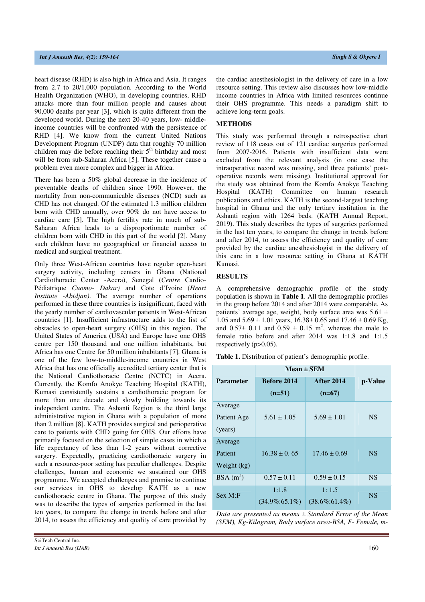heart disease (RHD) is also high in Africa and Asia. It ranges from 2.7 to 20/1,000 population. According to the World Health Organization (WHO), in developing countries, RHD attacks more than four million people and causes about 90,000 deaths per year [3], which is quite different from the developed world. During the next 20-40 years, low- middleincome countries will be confronted with the persistence of RHD [4]. We know from the current United Nations Development Program (UNDP) data that roughly 70 million children may die before reaching their 5<sup>th</sup> birthday and most will be from sub-Saharan Africa [5]. These together cause a problem even more complex and bigger in Africa.

There has been a 50% global decrease in the incidence of preventable deaths of children since 1990. However, the mortality from non-communicable diseases (NCD) such as CHD has not changed. Of the estimated 1.3 million children born with CHD annually, over 90% do not have access to cardiac care [5]. The high fertility rate in much of sub-Saharan Africa leads to a disproportionate number of children born with CHD in this part of the world [2]. Many such children have no geographical or financial access to medical and surgical treatment.

Only three West-African countries have regular open-heart surgery activity, including centers in Ghana (National Cardiothoracic Center -Accra), Senegal (*Centre* Cardio*-*Pédiatrique *Cuomo- Dakar)* and Cote d'Ivoire (*Heart Institute* -*Abidjan)*. The average number of operations performed in these three countries is insignificant, faced with the yearly number of cardiovascular patients in West-African countries [1]. Insufficient infrastructure adds to the list of obstacles to open-heart surgery (OHS) in this region. The United States of America (USA) and Europe have one OHS centre per 150 thousand and one million inhabitants, but Africa has one Centre for 50 million inhabitants [7]. Ghana is one of the few low-to-middle-income countries in West Africa that has one officially accredited tertiary center that is the National Cardiothoracic Centre (NCTC) in Accra. Currently, the Komfo Anokye Teaching Hospital (KATH), Kumasi consistently sustains a cardiothoracic program for more than one decade and slowly building towards its independent centre. The Ashanti Region is the third large administrative region in Ghana with a population of more than 2 million [8]. KATH provides surgical and perioperative care to patients with CHD going for OHS. Our efforts have primarily focused on the selection of simple cases in which a life expectancy of less than 1-2 years without corrective surgery. Expectedly, practicing cardiothoracic surgery in such a resource-poor setting has peculiar challenges. Despite challenges, human and economic we sustained our OHS programme. We accepted challenges and promise to continue our services in OHS to develop KATH as a new cardiothoracic centre in Ghana. The purpose of this study was to describe the types of surgeries performed in the last ten years, to compare the change in trends before and after 2014, to assess the efficiency and quality of care provided by

the cardiac anesthesiologist in the delivery of care in a low resource setting. This review also discusses how low-middle income countries in Africa with limited resources continue their OHS programme. This needs a paradigm shift to achieve long-term goals.

#### **METHODS**

This study was performed through a retrospective chart review of 118 cases out of 121 cardiac surgeries performed from 2007-2016. Patients with insufficient data were excluded from the relevant analysis (in one case the intraoperative record was missing, and three patients' postoperative records were missing). Institutional approval for the study was obtained from the Komfo Anokye Teaching Hospital (KATH) Committee on human research publications and ethics. KATH is the second-largest teaching hospital in Ghana and the only tertiary institution in the Ashanti region with 1264 beds. (KATH Annual Report, 2019). This study describes the types of surgeries performed in the last ten years, to compare the change in trends before and after 2014, to assess the efficiency and quality of care provided by the cardiac anesthesiologist in the delivery of this care in a low resource setting in Ghana at KATH Kumasi.

#### **RESULTS**

A comprehensive demographic profile of the study population is shown in **Table 1**. All the demographic profiles in the group before 2014 and after 2014 were comparable. As patients' average age, weight, body surface area was 5.61 ± 1.05 and  $5.69 \pm 1.01$  years,  $16.38 \pm 0.65$  and  $17.46 \pm 0.69$  Kg, and  $0.57\pm 0.11$  and  $0.59 \pm 0.15$  m<sup>2</sup>, whereas the male to female ratio before and after 2014 was 1:1.8 and 1:1.5 respectively (p>0.05).

**Table 1.** Distribution of patient's demographic profile.

|                                   | $Mean \pm SEM$               |                               |           |  |
|-----------------------------------|------------------------------|-------------------------------|-----------|--|
| <b>Parameter</b>                  | Before 2014<br>$(n=51)$      | <b>After 2014</b><br>$(n=67)$ | p-Value   |  |
| Average<br>Patient Age<br>(years) | $5.61 \pm 1.05$              | $5.69 \pm 1.01$               | <b>NS</b> |  |
| Average<br>Patient<br>Weight (kg) | $16.38 \pm 0.65$             | $17.46 \pm 0.69$              | <b>NS</b> |  |
| $BSA(m^2)$                        | $0.57 \pm 0.11$              | $0.59 \pm 0.15$               | <b>NS</b> |  |
| Sex M: F                          | 1:1.8<br>$(34.9\% : 65.1\%)$ | 1:1.5<br>$(38.6\% : 61.4\%)$  | <b>NS</b> |  |

*Data are presented as means ± Standard Error of the Mean (SEM), Kg-Kilogram, Body surface area-BSA, F- Female, m-*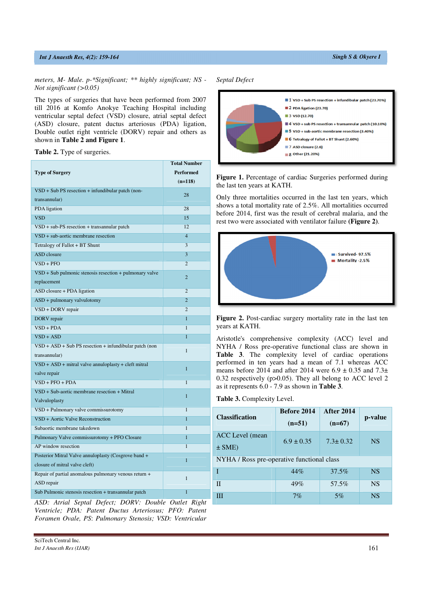## *Int J Anaesth Res, 4(2): 159-164 Singh S & Okyere I*

The types of surgeries that have been performed from 2007 till 2016 at Komfo Anokye Teaching Hospital including ventricular septal defect (VSD) closure, atrial septal defect (ASD) closure, patent ductus arteriosus (PDA) ligation, Double outlet right ventricle (DORV) repair and others as shown in **Table 2 and Figure 1**.

**Table 2.** Type of surgeries.

|                                                             | <b>Total Number</b> |
|-------------------------------------------------------------|---------------------|
| <b>Type of Surgery</b>                                      | <b>Performed</b>    |
|                                                             | $(n=118)$           |
| $VSD + Sub PS$ resection + infundibular patch (non-         | 28                  |
| transannular)                                               |                     |
| PDA ligation                                                | 28                  |
| <b>VSD</b>                                                  | 15                  |
| $VSD + sub-PS$ resection + transannular patch               | 12                  |
| $VSD + sub-aortic$ membrane resection                       | $\overline{4}$      |
| Tetralogy of Fallot + BT Shunt                              | 3                   |
| ASD closure                                                 | 3                   |
| $VSD + PFO$                                                 | $\overline{2}$      |
| $VSD + Sub$ pulmonic stenosis resection $+$ pulmonary valve | $\overline{2}$      |
| replacement                                                 |                     |
| ASD closure + PDA ligation                                  | $\overline{2}$      |
| ASD + pulmonary valvulotomy                                 | $\overline{2}$      |
| VSD + DORV repair                                           | $\overline{2}$      |
| DORV repair                                                 | 1                   |
| $VSD + PDA$                                                 | $\mathbf{1}$        |
| $VSD + ASD$                                                 | 1                   |
| $VSD + ASD + Sub PS$ resection + infundibular patch (non    | $\mathbf{1}$        |
| transannular)                                               |                     |
| $VSD + ASD + mitral value annuloplasty + cleft mitral$      | $\overline{1}$      |
| valve repair                                                |                     |
| $VSD + PFO + PDA$                                           | $\mathbf{1}$        |
| $VSD + Sub-aortic membrane resection + Mitral$              | $\overline{1}$      |
| Valvuloplasty                                               |                     |
| VSD + Pulmonary valve commissurotomy                        | $\mathbf{1}$        |
| VSD + Aortic Valve Reconstruction                           | $\overline{1}$      |
| Subaortic membrane takedown                                 | $\mathbf{1}$        |
| Pulmonary Valve commissurotomy + PFO Closure                | 1                   |
| AP window resection                                         | $\mathbf{1}$        |
| Posterior Mitral Valve annuloplasty (Cosgrove band +        | $\overline{1}$      |
| closure of mitral valve cleft)                              |                     |
| Repair of partial anomalous pulmonary venous return +       | $\mathbf{1}$        |
| ASD repair                                                  |                     |
| Sub Pulmonic stenosis resection + transannular patch        | $\overline{1}$      |

*ASD: Atrial Septal Defect; DORV: Double Outlet Right Ventricle; PDA: Patent Ductus Arteriosus; PFO: Patent Foramen Ovale, PS*: *Pulmonary Stenosis; VSD: Ventricular* 

| Septal Defect |
|---------------|
|               |



Figure 1. Percentage of cardiac Surgeries performed during the last ten years at KATH.

Only three mortalities occurred in the last ten years, which shows a total mortality rate of 2.5%. All mortalities occurred before 2014, first was the result of cerebral malaria, and the rest two were associated with ventilator failure **(Figure 2)**.



Figure 2. Post-cardiac surgery mortality rate in the last ten years at KATH.

Aristotle's comprehensive complexity (ACC) level and NYHA / Ross pre-operative functional class are shown in **Table 3**. The complexity level of cardiac operations performed in ten years had a mean of 7.1 whereas ACC means before 2014 and after 2014 were  $6.9 \pm 0.35$  and  $7.3\pm$ 0.32 respectively (p>0.05). They all belong to ACC level 2 as it represents 6.0 - 7.9 as shown in **Table 3**.

| Table 3. Complexity Level. |  |  |  |  |  |
|----------------------------|--|--|--|--|--|
|----------------------------|--|--|--|--|--|

| <b>Classification</b>                      | Before 2014<br>$(n=51)$ | <b>After 2014</b><br>$(n=67)$ | p-value   |  |  |
|--------------------------------------------|-------------------------|-------------------------------|-----------|--|--|
| ACC Level (mean<br>$\pm$ SME)              | $6.9 \pm 0.35$          | $7.3 \pm 0.32$                | <b>NS</b> |  |  |
| NYHA / Ross pre-operative functional class |                         |                               |           |  |  |
| T                                          | 44%                     | 37.5%                         | <b>NS</b> |  |  |
| H                                          | 49%                     | 57.5%                         | <b>NS</b> |  |  |
| Ш                                          | 7%                      | 5%                            | <b>NS</b> |  |  |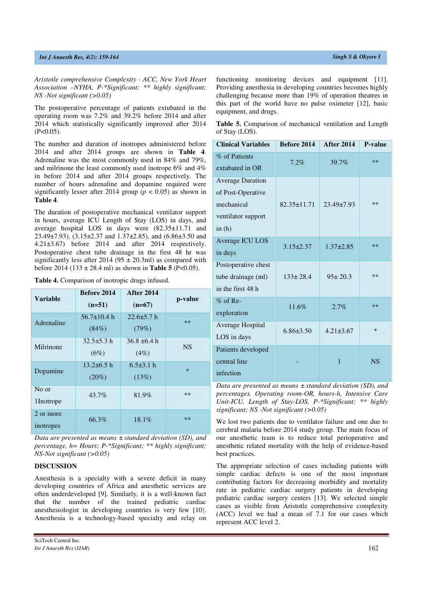*Aristotle comprehensive Complexity - ACC, New York Heart Association –NYHA, P-\*Significant; \*\* highly significant; NS -Not significant (>0.05)* 

The postoperative percentage of patients extubated in the operating room was 7.2% and 39.2% before 2014 and after 2014 which statistically significantly improved after 2014  $(P<0.05)$ .

The number and duration of inotropes administered before 2014 and after 2014 groups are shown in **Table 4**. Adrenaline was the most commonly used in 84% and 79%, and milrinone the least commonly used inotrope 6% and 4% in before 2014 and after 2014 groups respectively. The number of hours adrenaline and dopamine required were significantly lesser after 2014 group ( $p < 0.05$ ) as shown in **Table 4**.

The duration of postoperative mechanical ventilator support in hours, average ICU Length of Stay (LOS) in days, and average hospital LOS in days were (82.35±11.71 and 23.49±7.93), (3.15±2.37 and 1.37±2.85), and (6.86±3.50 and 4.21±3.67) before 2014 and after 2014 respectively. Postoperative chest tube drainage in the first 48 hr was significantly less after 2014 (95  $\pm$  20.3ml) as compared with before 2014 (133 ± 28.4 ml) as shown in **Table 5** (P<0.05).

**Table 4.** Comparison of inotropic drugs infused.

| <b>Variable</b>        | <b>Before 2014</b><br>$(n=51)$ | <b>After 2014</b><br>$(n=67)$ | p-value   |
|------------------------|--------------------------------|-------------------------------|-----------|
| Adrenaline             | $56.7 \pm 10.4$ h<br>(84%)     | $22.6 \pm 5.7$ h<br>(79%)     | $**$      |
| Milrinone              | $32.5 \pm 5.3 h$<br>(6%)       | $36.8 \pm 6.4 h$<br>(4%)      | <b>NS</b> |
| Dopamine               | $13.2\pm 6.5$ h<br>$(20\%)$    | $6.5\pm3.1$ h<br>(13%)        | $\star$   |
| No or<br>1Inotrope     | $43.7\%$                       | 81.9%                         | $**$      |
| 2 or more<br>inotropes | 66.3%                          | 18.1%                         | $**$      |

*Data are presented as means ± standard deviation (SD), and percentage, h= Hours; P-\*Significant; \*\* highly significant; NS-Not significant (>0.05)* 

## **DISCUSSION**

Anesthesia is a specialty with a severe deficit in many developing countries of Africa and anesthetic services are often underdeveloped [9]. Similarly, it is a well-known fact that the number of the trained pediatric cardiac anesthesiologist in developing countries is very few [10]. Anesthesia is a technology-based specialty and relay on

SciTech Central Inc*. Int J Anaesth Res (IJAR)*  $162$ 

|                | <b>Table 5.</b> Comparison of mechanical ventilation and Length |  |  |  |
|----------------|-----------------------------------------------------------------|--|--|--|
| of Stay (LOS). |                                                                 |  |  |  |

| <b>Clinical Variables</b>                                                                    | Before 2014       | <b>After 2014</b> | P-value   |
|----------------------------------------------------------------------------------------------|-------------------|-------------------|-----------|
| % of Patients<br>extubated in OR                                                             | 7.2%              | 39.7%             | $***$     |
| <b>Average Duration</b><br>of Post-Operative<br>mechanical<br>ventilator support<br>in $(h)$ | $82.35 \pm 11.71$ | $23.49 \pm 7.93$  | $**$      |
| Average ICU LOS<br>in days                                                                   | $3.15 \pm 2.37$   | $1.37 + 2.85$     | $***$     |
| Postoperative chest<br>tube drainage (ml)<br>in the first 48 h                               | $133 \pm 28.4$    | $95 \pm 20.3$     | $**$      |
| $%$ of Re-<br>exploration                                                                    | 11.6%             | 2.7%              | $**$      |
| Average Hospital<br>LOS in days                                                              | $6.86 \pm 3.50$   | $4.21 \pm 3.67$   | $\ast$    |
| Patients developed<br>central line<br>infection                                              |                   | 1                 | <b>NS</b> |

*Data are presented as means ± standard deviation (SD), and percentages. Operating room-OR, hours-h, Intensive Care Unit-ICU, Length of Stay-LOS, P-\*Significant; \*\* highly significant; NS -Not significant (>0.05)* 

We lost two patients due to ventilator failure and one due to cerebral malaria before 2014 study group. The main focus of our anesthetic team is to reduce total perioperative and anesthetic related mortality with the help of evidence-based best practices.

The appropriate selection of cases including patients with simple cardiac defects is one of the most important contributing factors for decreasing morbidity and mortality rate in pediatric cardiac surgery patients in developing pediatric cardiac surgery centers [13]. We selected simple cases as visible from Aristotle comprehensive complexity (ACC) level we had a mean of 7.1 for our cases which represent ACC level 2.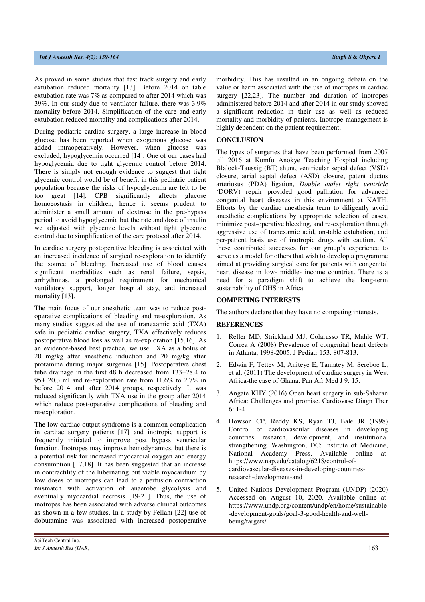As proved in some studies that fast track surgery and early extubation reduced mortality [13]. Before 2014 on table extubation rate was 7% as compared to after 2014 which was 39%. In our study due to ventilator failure, there was 3.9% mortality before 2014. Simplification of the care and early extubation reduced mortality and complications after 2014.

During pediatric cardiac surgery, a large increase in blood glucose has been reported when exogenous glucose was added intraoperatively. However, when glucose was excluded, hypoglycemia occurred [14]. One of our cases had hypoglycemia due to tight glycemic control before 2014. There is simply not enough evidence to suggest that tight glycemic control would be of benefit in this pediatric patient population because the risks of hypoglycemia are felt to be too great [14]. CPB significantly affects glucose homoeostasis in children, hence it seems prudent to administer a small amount of dextrose in the pre-bypass period to avoid hypoglycemia but the rate and dose of insulin we adjusted with glycemic levels without tight glycemic control due to simplification of the care protocol after 2014.

In cardiac surgery postoperative bleeding is associated with an increased incidence of surgical re-exploration to identify the source of bleeding. Increased use of blood causes significant morbidities such as renal failure, sepsis, arrhythmias, a prolonged requirement for mechanical ventilatory support, longer hospital stay, and increased mortality [13].

The main focus of our anesthetic team was to reduce postoperative complications of bleeding and re-exploration. As many studies suggested the use of tranexamic acid (TXA) safe in pediatric cardiac surgery, TXA effectively reduces postoperative blood loss as well as re-exploration [15,16]. As an evidence-based best practice, we use TXA as a bolus of 20 mg/kg after anesthetic induction and 20 mg/kg after protamine during major surgeries [15]. Postoperative chest tube drainage in the first 48 h decreased from 133±28.4 to 95± 20.3 ml and re-exploration rate from 11.6% to 2.7% in before 2014 and after 2014 groups, respectively. It was reduced significantly with TXA use in the group after 2014 which reduce post-operative complications of bleeding and re-exploration.

The low cardiac output syndrome is a common complication in cardiac surgery patients [17] and inotropic support is frequently initiated to improve post bypass ventricular function. Inotropes may improve hemodynamics, but there is a potential risk for increased myocardial oxygen and energy consumption [17,18]. It has been suggested that an increase in contractility of the hibernating but viable myocardium by low doses of inotropes can lead to a perfusion contraction mismatch with activation of anaerobe glycolysis and eventually myocardial necrosis [19-21]. Thus, the use of inotropes has been associated with adverse clinical outcomes as shown in a few studies. In a study by Fellahi [22] use of dobutamine was associated with increased postoperative morbidity. This has resulted in an ongoing debate on the value or harm associated with the use of inotropes in cardiac surgery [22,23]. The number and duration of inotropes administered before 2014 and after 2014 in our study showed a significant reduction in their use as well as reduced mortality and morbidity of patients. Inotrope management is highly dependent on the patient requirement.

#### **CONCLUSION**

The types of surgeries that have been performed from 2007 till 2016 at Komfo Anokye Teaching Hospital including Blalock-Taussig (BT) shunt, ventricular septal defect (VSD) closure, atrial septal defect (ASD) closure, patent ductus arteriosus (PDA) ligation, *Double outlet right ventricle (*DORV) repair provided good palliation for advanced congenital heart diseases in this environment at KATH. Efforts by the cardiac anesthesia team to diligently avoid anesthetic complications by appropriate selection of cases, minimize post-operative bleeding, and re-exploration through aggressive use of tranexamic acid, on-table extubation, and per-patient basis use of inotropic drugs with caution. All these contributed successes for our group's experience to serve as a model for others that wish to develop a programme aimed at providing surgical care for patients with congenital heart disease in low- middle- income countries. There is a need for a paradigm shift to achieve the long-term sustainability of OHS in Africa.

#### **COMPETING INTERESTS**

The authors declare that they have no competing interests.

#### **REFERENCES**

- 1. Reller MD, Strickland MJ, Colarusso TR, Mahle WT, Correa A (2008) Prevalence of congenital heart defects in Atlanta, 1998-2005. J Pediatr 153: 807-813.
- 2. Edwin F, Tettey M, Aniteye E, Tamatey M, Sereboe L, et al. (2011) The development of cardiac surgery in West Africa-the case of Ghana. Pan Afr Med J 9: 15.
- 3. Angate KHY (2016) Open heart surgery in sub-Saharan Africa: Challenges and promise. Cardiovasc Diagn Ther 6: 1-4.
- 4. Howson CP, Reddy KS, Ryan TJ, Bale JR (1998) Control of cardiovascular diseases in developing countries. research, development, and institutional strengthening. Washington, DC: Institute of Medicine, National Academy Press. Available online at: https://www.nap.edu/catalog/6218/control-ofcardiovascular-diseases-in-developing-countriesresearch-development-and
- 5. United Nations Development Program (UNDP) (2020) Accessed on August 10, 2020. Available online at: https://www.undp.org/content/undp/en/home/sustainable -development-goals/goal-3-good-health-and-wellbeing/targets/